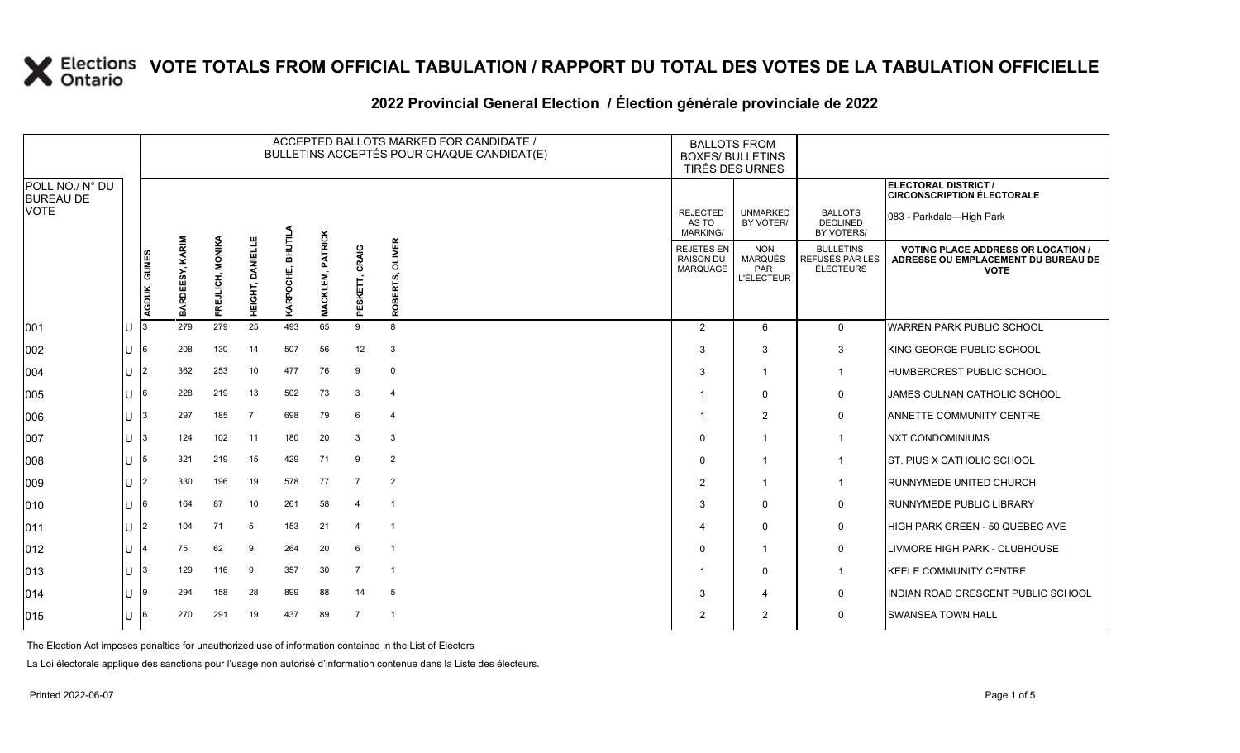### **2022 Provincial General Election / Élection générale provinciale de 2022**

|                                     |              |              |                 |                  |                            |                |                                   |                   | ACCEPTED BALLOTS MARKED FOR CANDIDATE /<br>BULLETINS ACCEPTÉS POUR CHAQUE CANDIDAT(E) |                                                   | <b>BALLOTS FROM</b><br><b>BOXES/ BULLETINS</b><br>TIRÉS DES URNES |                                                  |                                                                                                 |
|-------------------------------------|--------------|--------------|-----------------|------------------|----------------------------|----------------|-----------------------------------|-------------------|---------------------------------------------------------------------------------------|---------------------------------------------------|-------------------------------------------------------------------|--------------------------------------------------|-------------------------------------------------------------------------------------------------|
| POLL NO./ N° DU<br><b>BUREAU DE</b> |              |              |                 |                  |                            |                |                                   |                   |                                                                                       |                                                   |                                                                   |                                                  | ELECTORAL DISTRICT /<br><b>CIRCONSCRIPTION ÉLECTORALE</b>                                       |
| <b>VOTE</b>                         |              |              |                 |                  |                            |                |                                   |                   |                                                                                       | <b>REJECTED</b><br>AS TO<br><b>MARKING/</b>       | <b>UNMARKED</b><br>BY VOTER/                                      | <b>BALLOTS</b><br><b>DECLINED</b><br>BY VOTERS/  | 083 - Parkdale—High Park                                                                        |
|                                     |              | AGDUK, GUNES | BARDEESY, KARIM | FREJLICH, MONIKA | <b>DANIELLE</b><br>HEIGHT, | ڍ<br>KARPOCHE, | <b>PATRICK</b><br><b>MACKLEM,</b> | CRAIG<br>PESKETT, | <b>OLIVER</b><br>ROBERTS,                                                             | <b>REJETÉS EN</b><br><b>RAISON DU</b><br>MARQUAGE | <b>NON</b><br><b>MARQUÉS</b><br>PAR<br><b>L'ÉLECTEUR</b>          | <b>BULLETINS</b><br>REFUSÉS PAR LES<br>ÉLECTEURS | <b>VOTING PLACE ADDRESS OR LOCATION /</b><br>ADRESSE OU EMPLACEMENT DU BUREAU DE<br><b>VOTE</b> |
| 001                                 |              |              | 279             | 279              | 25                         | 493            | 65                                | 9                 | 8                                                                                     | $\overline{2}$                                    | 6                                                                 | $\mathbf 0$                                      | <b>WARREN PARK PUBLIC SCHOOL</b>                                                                |
| 002                                 | U            | 6            | 208             | 130              | 14                         | 507            | 56                                | 12                | 3                                                                                     | 3                                                 | 3                                                                 | 3                                                | KING GEORGE PUBLIC SCHOOL                                                                       |
| 004                                 |              | 2            | 362             | 253              | 10                         | 477            | 76                                | 9                 | $\mathbf{0}$                                                                          | 3                                                 | $\overline{1}$                                                    | $\overline{1}$                                   | HUMBERCREST PUBLIC SCHOOL                                                                       |
| 005                                 | $\mathbf{U}$ | 6            | 228             | 219              | 13                         | 502            | 73                                | 3                 | $\overline{4}$                                                                        |                                                   | $\Omega$                                                          | 0                                                | JAMES CULNAN CATHOLIC SCHOOL                                                                    |
| 006                                 |              |              | 297             | 185              | - 7                        | 698            | 79                                | 6                 | $\overline{4}$                                                                        |                                                   | $\overline{2}$                                                    | 0                                                | ANNETTE COMMUNITY CENTRE                                                                        |
| 007                                 | U            | 3            | 124             | 102              | 11                         | 180            | 20                                | 3                 | 3                                                                                     | $\Omega$                                          | $\overline{1}$                                                    | $\overline{1}$                                   | <b>NXT CONDOMINIUMS</b>                                                                         |
| 008                                 | U            | 5            | 321             | 219              | 15                         | 429            | 71                                | 9                 | $\overline{2}$                                                                        | $\Omega$                                          | $\overline{\mathbf{1}}$                                           | -1                                               | IST. PIUS X CATHOLIC SCHOOL                                                                     |
| 009                                 |              | 2            | 330             | 196              | 19                         | 578            | 77                                | $\overline{7}$    | $\overline{2}$                                                                        | $\overline{2}$                                    | $\mathbf{1}$                                                      | $\mathbf 1$                                      | <b>RUNNYMEDE UNITED CHURCH</b>                                                                  |
| 010                                 | U            | 6            | 164             | 87               | 10                         | 261            | 58                                | 4                 | -1                                                                                    | 3                                                 | $\Omega$                                                          | 0                                                | <b>RUNNYMEDE PUBLIC LIBRARY</b>                                                                 |
| 011                                 | J.           | 2            | 104             | 71               | 5                          | 153            | 21                                | $\overline{4}$    | - 1                                                                                   |                                                   | $\Omega$                                                          | 0                                                | HIGH PARK GREEN - 50 QUEBEC AVE                                                                 |
| 012                                 |              |              | 75              | 62               | 9                          | 264            | 20                                | 6                 | $\overline{1}$                                                                        | $\Omega$                                          | $\overline{\mathbf{1}}$                                           | 0                                                | LIVMORE HIGH PARK - CLUBHOUSE                                                                   |
| 013                                 | U            | 3            | 129             | 116              | 9                          | 357            | 30                                | 7                 | - 1                                                                                   |                                                   | $\Omega$                                                          | $\overline{1}$                                   | <b>KEELE COMMUNITY CENTRE</b>                                                                   |
| 014                                 |              | ۱g           | 294             | 158              | 28                         | 899            | 88                                | 14                | 5                                                                                     | 3                                                 | 4                                                                 | 0                                                | INDIAN ROAD CRESCENT PUBLIC SCHOOL                                                              |
| 015                                 |              |              | 270             | 291              | 19                         | 437            | 89                                | $\overline{7}$    | $\overline{1}$                                                                        | 2                                                 | $\overline{2}$                                                    | $\mathbf 0$                                      | <b>SWANSEA TOWN HALL</b>                                                                        |

The Election Act imposes penalties for unauthorized use of information contained in the List of Electors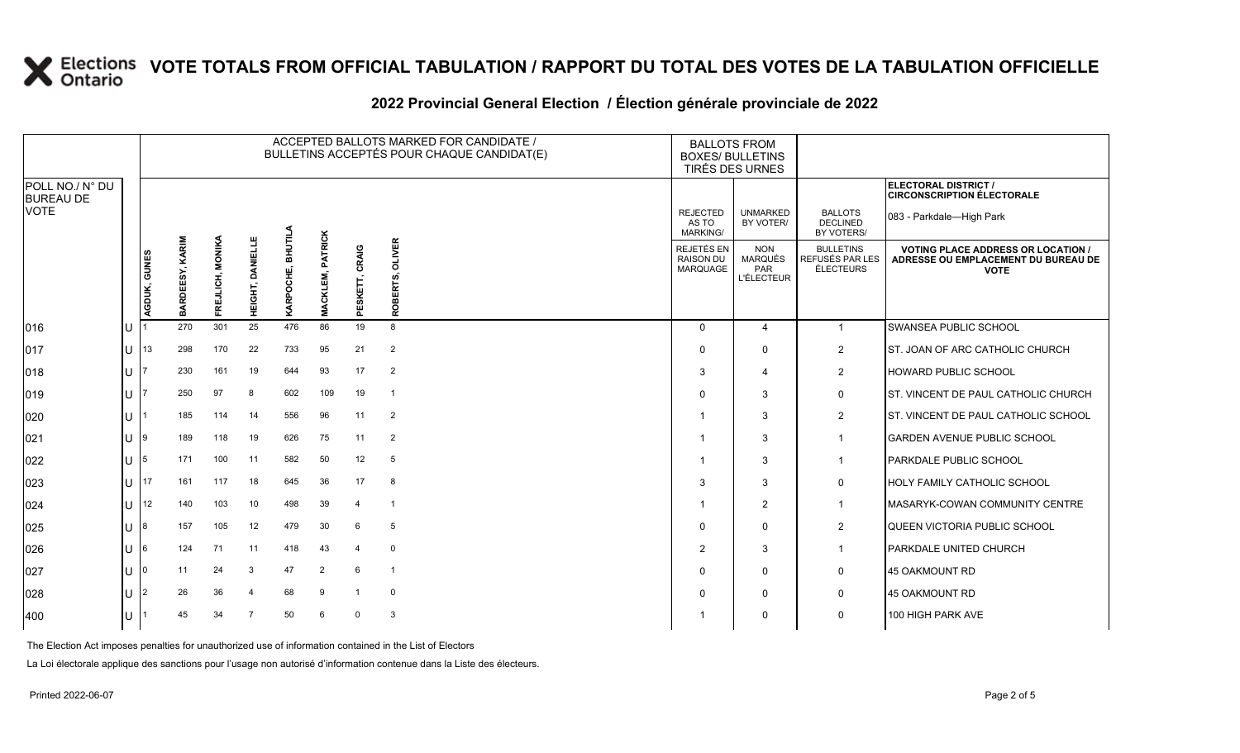### **2022 Provincial General Election / Élection générale provinciale de 2022**

|                                     |     |                | ACCEPTED BALLOTS MARKED FOR CANDIDATE /<br>BULLETINS ACCEPTÉS POUR CHAQUE CANDIDAT(E) |                  |                    |                                |                                   |                   |                           |                                             | <b>BALLOTS FROM</b><br><b>BOXES/ BULLETINS</b><br>TIRÉS DES URNES |                                                  |                                                                                                 |
|-------------------------------------|-----|----------------|---------------------------------------------------------------------------------------|------------------|--------------------|--------------------------------|-----------------------------------|-------------------|---------------------------|---------------------------------------------|-------------------------------------------------------------------|--------------------------------------------------|-------------------------------------------------------------------------------------------------|
| POLL NO./ N° DU<br><b>BUREAU DE</b> |     |                |                                                                                       |                  |                    |                                |                                   |                   |                           |                                             |                                                                   |                                                  | ELECTORAL DISTRICT /<br><b>CIRCONSCRIPTION ÉLECTORALE</b>                                       |
| <b>VOTE</b>                         |     |                |                                                                                       |                  |                    |                                |                                   |                   |                           | <b>REJECTED</b><br>AS TO<br><b>MARKING/</b> | <b>UNMARKED</b><br>BY VOTER/                                      | <b>BALLOTS</b><br><b>DECLINED</b><br>BY VOTERS/  | 083 - Parkdale—High Park                                                                        |
|                                     |     | AGDUK, GUNES   | BARDEESY, KARIM                                                                       | FREJLICH, MONIKA | DANIELLE<br>неснт, | <b>BHUTIL</b><br>шî<br>KARPOCH | <b>PATRICK</b><br><b>MACKLEM,</b> | CRAIG<br>PESKETT, | <b>OLIVER</b><br>ROBERTS, | REJETÉS EN<br><b>RAISON DU</b><br>MARQUAGE  | <b>NON</b><br><b>MARQUÉS</b><br>PAR<br><b>L'ÉLECTEUR</b>          | <b>BULLETINS</b><br>REFUSÉS PAR LES<br>ÉLECTEURS | <b>VOTING PLACE ADDRESS OR LOCATION /</b><br>ADRESSE OU EMPLACEMENT DU BUREAU DE<br><b>VOTE</b> |
| $ 016\rangle$                       | ΠJ  |                | 270                                                                                   | 301              | 25                 | 476                            | 86                                | 19                | 8                         | $\Omega$                                    | $\overline{4}$                                                    | $\overline{1}$                                   | SWANSEA PUBLIC SCHOOL                                                                           |
| 017                                 | lu  | 13             | 298                                                                                   | 170              | 22                 | 733                            | 95                                | 21                | $\overline{2}$            | $\Omega$                                    | $\Omega$                                                          | 2                                                | <b>ST. JOAN OF ARC CATHOLIC CHURCH</b>                                                          |
| 018                                 | Ш   |                | 230                                                                                   | 161              | 19                 | 644                            | 93                                | 17                | 2                         | 3                                           | $\overline{4}$                                                    | $\overline{2}$                                   | <b>HOWARD PUBLIC SCHOOL</b>                                                                     |
| 019                                 | ΠT  |                | 250                                                                                   | 97               | 8                  | 602                            | 109                               | 19                | $\overline{\mathbf{1}}$   | $\Omega$                                    | 3                                                                 | $\mathsf{O}$                                     | <b>ST. VINCENT DE PAUL CATHOLIC CHURCH</b>                                                      |
| 020                                 | IU. |                | 185                                                                                   | 114              | 14                 | 556                            | 96                                | 11                | $\overline{2}$            |                                             | 3                                                                 | $\overline{2}$                                   | <b>ST. VINCENT DE PAUL CATHOLIC SCHOOL</b>                                                      |
| 021                                 | lU  | 9              | 189                                                                                   | 118              | 19                 | 626                            | 75                                | 11                | 2                         |                                             | 3                                                                 | $\overline{1}$                                   | <b>GARDEN AVENUE PUBLIC SCHOOL</b>                                                              |
| 022                                 | lu  | 5              | 171                                                                                   | 100              | 11                 | 582                            | 50                                | 12                | $5\phantom{.0}$           |                                             | 3                                                                 | $\overline{1}$                                   | <b>PARKDALE PUBLIC SCHOOL</b>                                                                   |
| 023                                 | lu  | 17             | 161                                                                                   | 117              | 18                 | 645                            | 36                                | 17                | 8                         | 3                                           | 3                                                                 | $\mathbf 0$                                      | <b>HOLY FAMILY CATHOLIC SCHOOL</b>                                                              |
| 024                                 | Ш   | 12             | 140                                                                                   | 103              | 10                 | 498                            | 39                                | 4                 | -1                        |                                             | 2                                                                 | -1                                               | <b>IMASARYK-COWAN COMMUNITY CENTRE</b>                                                          |
| 025                                 | Ш   | 8              | 157                                                                                   | 105              | 12                 | 479                            | 30                                | 6                 | 5                         | $\Omega$                                    | $\mathbf 0$                                                       | 2                                                | QUEEN VICTORIA PUBLIC SCHOOL                                                                    |
| 026                                 | IП  | 6              | 124                                                                                   | 71               | 11                 | 418                            | 43                                | 4                 | $\mathbf 0$               | $\overline{2}$                              | 3                                                                 | -1                                               | <b>PARKDALE UNITED CHURCH</b>                                                                   |
| 027                                 | Ш   | $\Omega$       | 11                                                                                    | 24               | 3                  | 47                             | $\overline{2}$                    | 6                 | $\overline{\phantom{0}}$  | $\Omega$                                    | $\mathbf 0$                                                       | $\mathsf{O}$                                     | 45 OAKMOUNT RD                                                                                  |
| 028                                 | lU  | $\overline{2}$ | 26                                                                                    | 36               | $\overline{4}$     | 68                             | 9                                 |                   | $\mathbf 0$               | $\Omega$                                    | $\mathbf 0$                                                       | $\mathbf 0$                                      | 45 OAKMOUNT RD                                                                                  |
| 400                                 | lu  |                | 45                                                                                    | 34               | $\overline{7}$     | 50                             | 6                                 | $\Omega$          | 3                         |                                             | $\Omega$                                                          | $\mathbf 0$                                      | 100 HIGH PARK AVE                                                                               |

The Election Act imposes penalties for unauthorized use of information contained in the List of Electors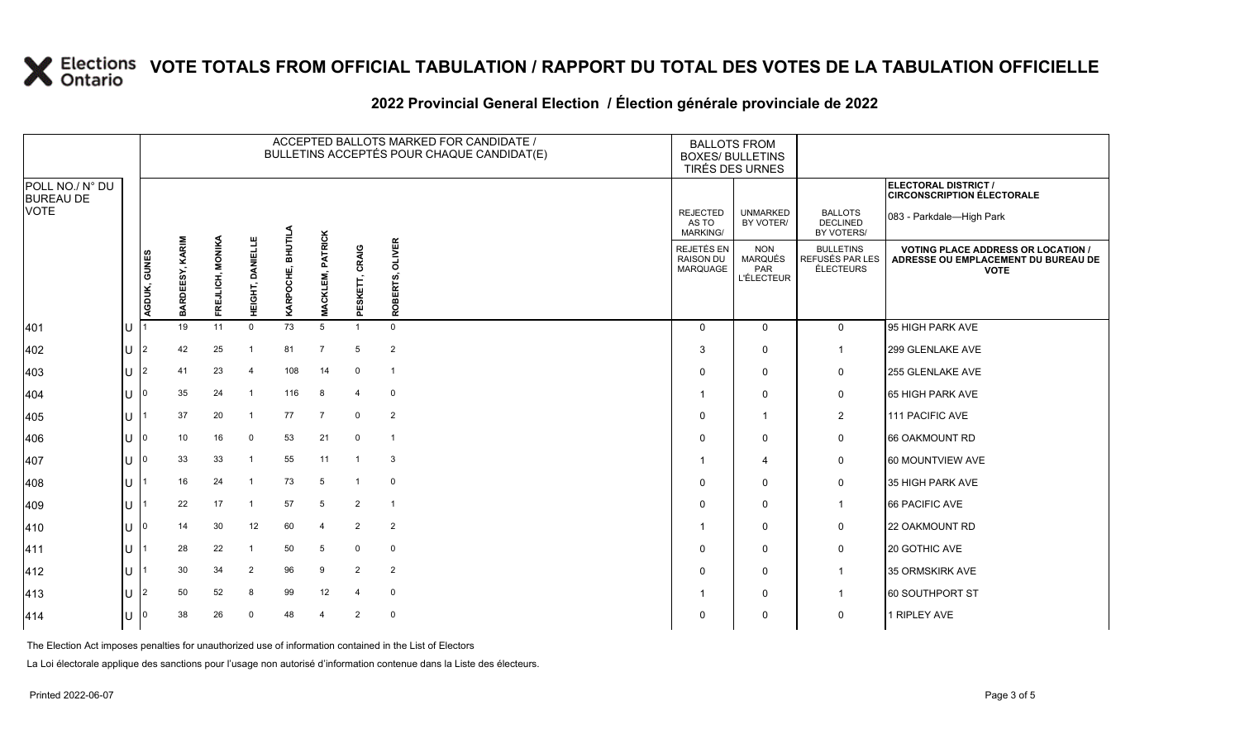### **2022 Provincial General Election / Élection générale provinciale de 2022**

|                                     |        |              |                           |                  |                  |                   |                         | ACCEPTED BALLOTS MARKED FOR CANDIDATE /<br>BULLETINS ACCEPTÉS POUR CHAQUE CANDIDAT(E) |                           | <b>BALLOTS FROM</b><br><b>BOXES/ BULLETINS</b><br>TIRÉS DES URNES |                                                   |                                                  |                                                                                                 |
|-------------------------------------|--------|--------------|---------------------------|------------------|------------------|-------------------|-------------------------|---------------------------------------------------------------------------------------|---------------------------|-------------------------------------------------------------------|---------------------------------------------------|--------------------------------------------------|-------------------------------------------------------------------------------------------------|
| POLL NO./ N° DU<br><b>BUREAU DE</b> |        |              |                           |                  |                  |                   |                         |                                                                                       |                           |                                                                   |                                                   |                                                  | <b>ELECTORAL DISTRICT /</b><br><b>CIRCONSCRIPTION ÉLECTORALE</b>                                |
| <b>VOTE</b>                         |        |              |                           |                  |                  |                   |                         |                                                                                       |                           | <b>REJECTED</b><br>AS TO<br><b>MARKING/</b>                       | <b>UNMARKED</b><br>BY VOTER/                      | <b>BALLOTS</b><br><b>DECLINED</b><br>BY VOTERS/  | 083 - Parkdale-High Park                                                                        |
|                                     |        | AGDUK, GUNES | <b>KARIM</b><br>BARDEESY, | FREJLICH, MONIKA | HEIGHT, DANIELLE | KARPOCHE, BHUTILA | <b>MACKLEM, PATRICK</b> | CRAIG<br>ESKETT,<br>$\overline{\mathbf{a}}$                                           | <b>OLIVER</b><br>ROBERTS, | REJETÉS EN<br><b>RAISON DU</b><br>MARQUAGE                        | <b>NON</b><br>MARQUÉS<br>PAR<br><b>L'ÉLECTEUR</b> | <b>BULLETINS</b><br>REFUSÉS PAR LES<br>ÉLECTEURS | <b>VOTING PLACE ADDRESS OR LOCATION /</b><br>ADRESSE OU EMPLACEMENT DU BUREAU DE<br><b>VOTE</b> |
| 401                                 | $\cup$ |              | 19                        | 11               | $\mathbf{0}$     | 73                | 5                       | $\mathbf{1}$                                                                          | $\mathbf 0$               | $\Omega$                                                          | $\mathbf{0}$                                      | $\mathbf 0$                                      | 95 HIGH PARK AVE                                                                                |
| 402                                 | lU.    | <u> 2</u>    | 42                        | 25               |                  | 81                | $\overline{7}$          | 5                                                                                     | $\overline{2}$            | 3                                                                 | $\mathbf 0$                                       | $\mathbf{1}$                                     | 299 GLENLAKE AVE                                                                                |
| 403                                 | lU.    | 12.          | 41                        | 23               | $\overline{4}$   | 108               | 14                      | $\mathbf 0$                                                                           | $\overline{1}$            | 0                                                                 | $\mathbf 0$                                       | 0                                                | 255 GLENLAKE AVE                                                                                |
| 404                                 | ΙU     |              | 35                        | 24               | $\overline{1}$   | 116               | 8                       | $\overline{4}$                                                                        | $\overline{0}$            |                                                                   | $\mathbf 0$                                       | 0                                                | 65 HIGH PARK AVE                                                                                |
| 405                                 | U      |              | 37                        | 20               | $\overline{1}$   | 77                | $\overline{7}$          | $\mathbf 0$                                                                           | $\overline{2}$            | $\mathbf 0$                                                       | 1                                                 | $\overline{2}$                                   | 111 PACIFIC AVE                                                                                 |
| 406                                 | U      | I٥           | 10                        | 16               | $\mathbf 0$      | 53                | 21                      | $\mathbf 0$                                                                           | $\overline{1}$            | 0                                                                 | $\mathbf 0$                                       | 0                                                | 66 OAKMOUNT RD                                                                                  |
| 407                                 | ΠT     |              | 33                        | 33               | -1               | 55                | 11                      | $\overline{1}$                                                                        | 3                         |                                                                   | 4                                                 | 0                                                | 60 MOUNTVIEW AVE                                                                                |
| 408                                 | U      |              | 16                        | 24               |                  | 73                | 5                       | $\overline{1}$                                                                        | $\mathbf 0$               | 0                                                                 | $\mathbf 0$                                       | 0                                                | 35 HIGH PARK AVE                                                                                |
| 409                                 | ΙU     |              | 22                        | 17               |                  | 57                | 5                       | $\overline{2}$                                                                        | $\overline{1}$            | $\mathbf 0$                                                       | $\mathbf 0$                                       | $\mathbf{1}$                                     | 66 PACIFIC AVE                                                                                  |
| 410                                 | ΠT     |              | 14                        | 30               | 12               | 60                | $\overline{4}$          | $\overline{2}$                                                                        | $\overline{2}$            |                                                                   | $\Omega$                                          | 0                                                | 22 OAKMOUNT RD                                                                                  |
| 411                                 | lU.    |              | 28                        | 22               |                  | 50                | 5                       | $\mathbf 0$                                                                           | $\mathbf 0$               | 0                                                                 | 0                                                 | 0                                                | 20 GOTHIC AVE                                                                                   |
| 412                                 | U      |              | 30                        | 34               | $\overline{2}$   | 96                | 9                       | $\overline{2}$                                                                        | $\overline{2}$            | 0                                                                 | $\mathbf 0$                                       | $\mathbf{1}$                                     | 35 ORMSKIRK AVE                                                                                 |
| $ 413\rangle$                       | ΠT     | 12           | 50                        | 52               | 8                | 99                | 12                      | $\overline{4}$                                                                        | $\mathbf 0$               |                                                                   | $\mathbf 0$                                       | $\overline{1}$                                   | 60 SOUTHPORT ST                                                                                 |
| 414                                 | U      |              | 38                        | 26               | $\Omega$         | 48                | $\overline{4}$          | $\overline{2}$                                                                        | $\mathbf 0$               | 0                                                                 | 0                                                 | 0                                                | 1 RIPLEY AVE                                                                                    |

The Election Act imposes penalties for unauthorized use of information contained in the List of Electors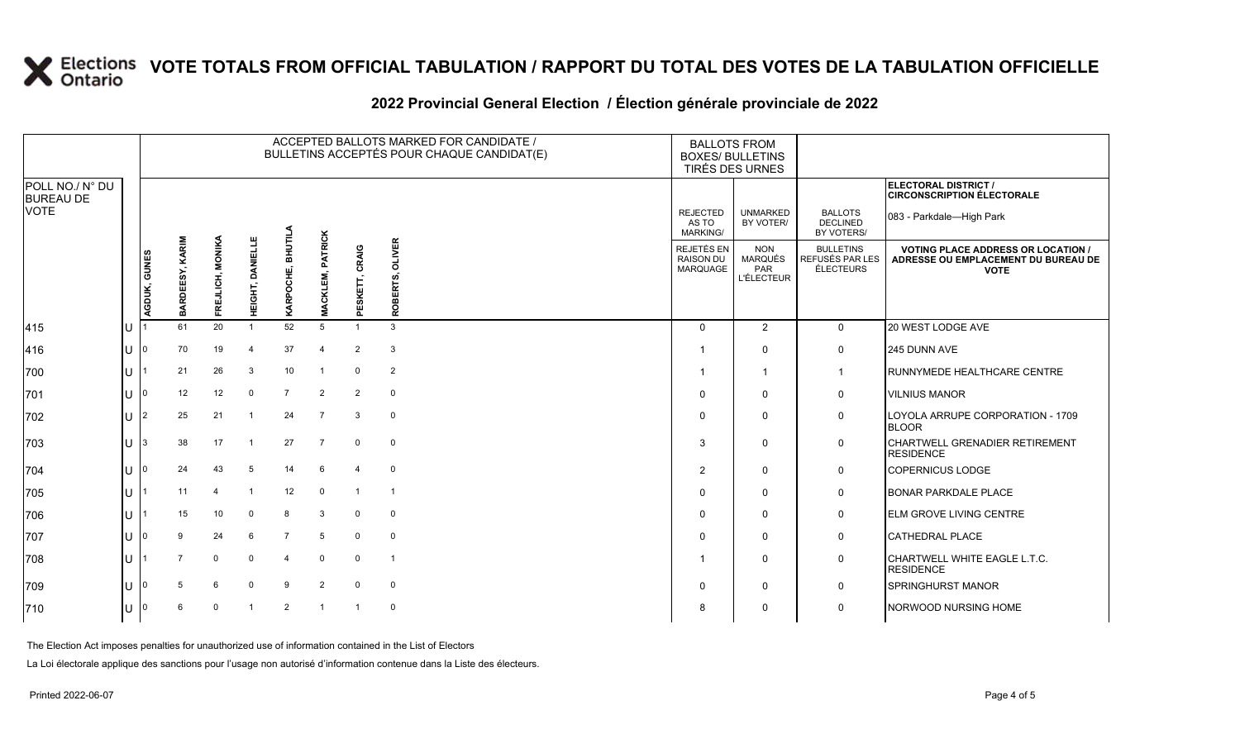### **2022 Provincial General Election / Élection générale provinciale de 2022**

|                                     |     |                |                 |                  |                  |                   |                               | ACCEPTED BALLOTS MARKED FOR CANDIDATE /<br>BULLETINS ACCEPTÉS POUR CHAQUE CANDIDAT(E) | <b>BOXES/ BULLETINS</b>   | <b>BALLOTS FROM</b><br><b>TIRÉS DES URNES</b>     |                                                   |                                                         |                                                                                                 |
|-------------------------------------|-----|----------------|-----------------|------------------|------------------|-------------------|-------------------------------|---------------------------------------------------------------------------------------|---------------------------|---------------------------------------------------|---------------------------------------------------|---------------------------------------------------------|-------------------------------------------------------------------------------------------------|
| POLL NO./ N° DU<br><b>BUREAU DE</b> |     |                |                 |                  |                  |                   |                               |                                                                                       |                           |                                                   |                                                   |                                                         | ELECTORAL DISTRICT /<br><b>CIRCONSCRIPTION ÉLECTORALE</b>                                       |
| <b>VOTE</b>                         |     |                |                 |                  |                  |                   |                               |                                                                                       |                           | <b>REJECTED</b><br>AS TO<br><b>MARKING/</b>       | <b>UNMARKED</b><br>BY VOTER/                      | <b>BALLOTS</b><br><b>DECLINED</b><br>BY VOTERS/         | 083 - Parkdale-High Park                                                                        |
|                                     |     | AGDUK, GUNES   | BARDEESY, KARIM | FREJLICH, MONIKA | HEIGHT, DANIELLE | KARPOCHE, BHUTILA | <b>PATRICK</b><br>CKLEM,<br>Š | SKETT, CRAIG<br>ā.                                                                    | <b>OLIVER</b><br>ROBERTS, | <b>REJETÉS EN</b><br><b>RAISON DU</b><br>MARQUAGE | <b>NON</b><br>MARQUÉS<br>PAR<br><b>L'ÉLECTEUR</b> | <b>BULLETINS</b><br>REFUSÉS PAR LES<br><b>ÉLECTEURS</b> | <b>VOTING PLACE ADDRESS OR LOCATION /</b><br>ADRESSE OU EMPLACEMENT DU BUREAU DE<br><b>VOTE</b> |
| 415                                 | lu  |                | 61              | 20               |                  | 52                | 5                             |                                                                                       | 3                         | $\Omega$                                          | 2                                                 | $\mathbf{0}$                                            | 20 WEST LODGE AVE                                                                               |
| 416                                 | lu  |                | 70              | 19               | $\overline{4}$   | 37                | $\overline{4}$                | $\overline{2}$                                                                        | 3                         |                                                   | $\Omega$                                          | 0                                                       | 245 DUNN AVE                                                                                    |
| 700                                 | lu  |                | 21              | 26               | 3                | 10                | $\overline{1}$                | $\mathbf 0$                                                                           | 2                         |                                                   | $\overline{1}$                                    | $\overline{1}$                                          | <b>RUNNYMEDE HEALTHCARE CENTRE</b>                                                              |
| 701                                 | lu  |                | 12              | 12               | $\mathbf 0$      | $\overline{7}$    | $\overline{2}$                | 2                                                                                     | $\mathbf 0$               | $\Omega$                                          | $\mathbf 0$                                       | $\mathbf 0$                                             | <b>VILNIUS MANOR</b>                                                                            |
| 702                                 | Iп  | $\overline{2}$ | 25              | 21               | $\overline{1}$   | 24                | $\overline{7}$                | 3                                                                                     | $\mathbf 0$               | $\Omega$                                          | $\mathbf{0}$                                      | $\mathbf 0$                                             | LOYOLA ARRUPE CORPORATION - 1709<br><b>BLOOR</b>                                                |
| 703                                 | lu  | $\mathbf{3}$   | 38              | 17               | $\overline{1}$   | 27                | $\overline{7}$                | $\mathbf 0$                                                                           | $\mathbf 0$               | 3                                                 | $\mathbf 0$                                       | $\mathbf 0$                                             | CHARTWELL GRENADIER RETIREMENT<br><b>RESIDENCE</b>                                              |
| 704                                 | lu  |                | 24              | 43               | 5                | 14                | 6                             | $\overline{4}$                                                                        | $\mathbf 0$               | 2                                                 | $\mathbf 0$                                       | $\mathbf 0$                                             | <b>COPERNICUS LODGE</b>                                                                         |
| 705                                 | Iυ. |                | 11              | $\overline{4}$   | -1               | 12                | $\mathbf 0$                   | $\overline{1}$                                                                        | $\overline{1}$            | $\Omega$                                          | $\mathbf{0}$                                      | 0                                                       | <b>BONAR PARKDALE PLACE</b>                                                                     |
| 706                                 | lu  |                | 15              | 10               | $\mathbf 0$      | 8                 | 3                             | $\mathbf 0$                                                                           | $\mathbf 0$               | $\Omega$                                          | $\mathbf 0$                                       | 0                                                       | <b>ELM GROVE LIVING CENTRE</b>                                                                  |
| 707                                 | Iυ  |                | 9               | 24               | 6                | $\overline{7}$    | 5                             | $\mathbf 0$                                                                           | $\mathbf 0$               | $\Omega$                                          | $\mathbf{0}$                                      | $\mathbf 0$                                             | <b>CATHEDRAL PLACE</b>                                                                          |
| 708                                 | lu  |                | $\overline{7}$  | $\Omega$         | $\Omega$         | $\overline{4}$    | $\overline{0}$                | $\mathbf 0$                                                                           | $\overline{1}$            |                                                   | 0                                                 | $\mathbf 0$                                             | CHARTWELL WHITE EAGLE L.T.C.<br><b>RESIDENCE</b>                                                |
| 709                                 | lu  |                | 5               | 6                | $\Omega$         | 9                 | $\overline{2}$                | $\Omega$                                                                              | $\mathbf 0$               | $\Omega$                                          | 0                                                 | 0                                                       | <b>SPRINGHURST MANOR</b>                                                                        |
| 710                                 | lυ  |                | 6               | $\Omega$         | $\overline{1}$   | $\overline{2}$    | $\overline{1}$                | $\overline{1}$                                                                        | $\mathbf 0$               | 8                                                 | $\mathbf 0$                                       | $\mathbf 0$                                             | NORWOOD NURSING HOME                                                                            |

The Election Act imposes penalties for unauthorized use of information contained in the List of Electors